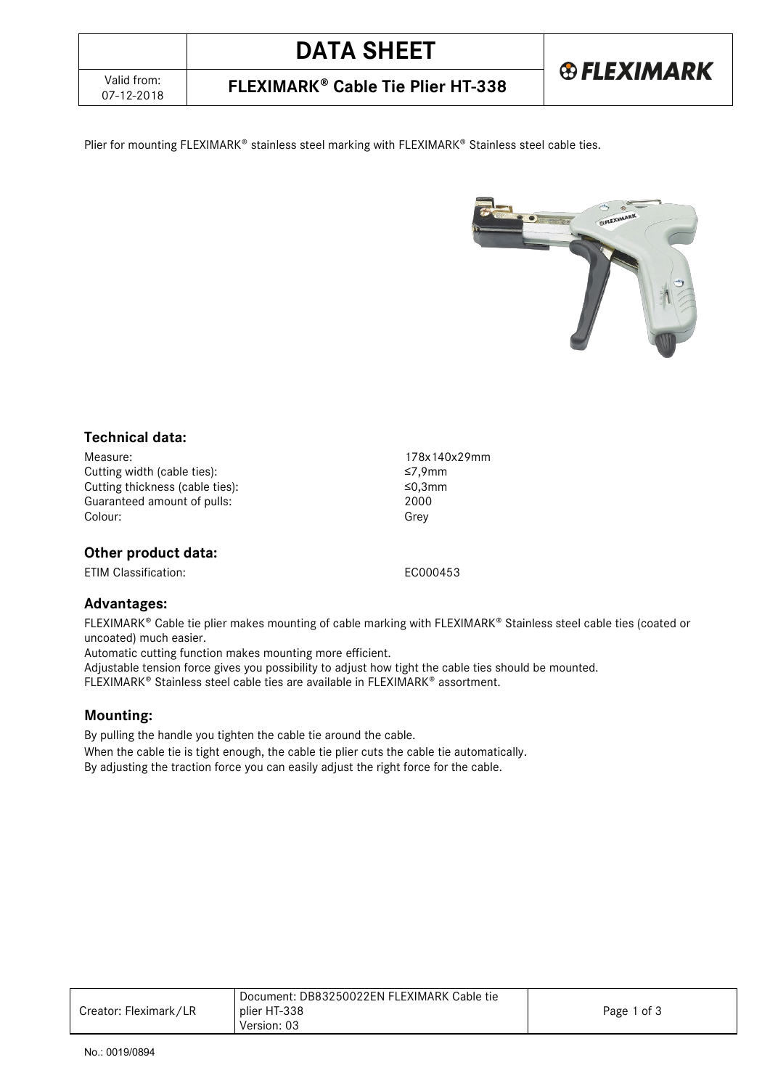**®FLEXIMARK** 

07-12-2018 **FLEXIMARK Cable Tie Plier HT-338**

Plier for mounting FLEXIMARK® stainless steel marking with FLEXIMARK® Stainless steel cable ties.



## **Technical data:**

Measure: 178x140x29mm Cutting width (cable ties):<br>Cutting thickness (cable ties): ≤9,3mm Cutting thickness (cable ties): ≤0,3mm Guaranteed amount of pulls: Colour: Grey

# **Other product data:**

ETIM Classification: EC000453

## **Advantages:**

FLEXIMARK® Cable tie plier makes mounting of cable marking with FLEXIMARK® Stainless steel cable ties (coated or uncoated) much easier.

Automatic cutting function makes mounting more efficient.

Adjustable tension force gives you possibility to adjust how tight the cable ties should be mounted.

FLEXIMARK<sup>®</sup> Stainless steel cable ties are available in FLEXIMARK<sup>®</sup> assortment.

## **Mounting:**

By pulling the handle you tighten the cable tie around the cable. When the cable tie is tight enough, the cable tie plier cuts the cable tie automatically. By adjusting the traction force you can easily adjust the right force for the cable.

|                       | Document: DB83250022EN FLEXIMARK Cable tie |             |
|-----------------------|--------------------------------------------|-------------|
| Creator: Fleximark/LR | plier HT-338                               | Page 1 of 3 |
|                       | Version: 03                                |             |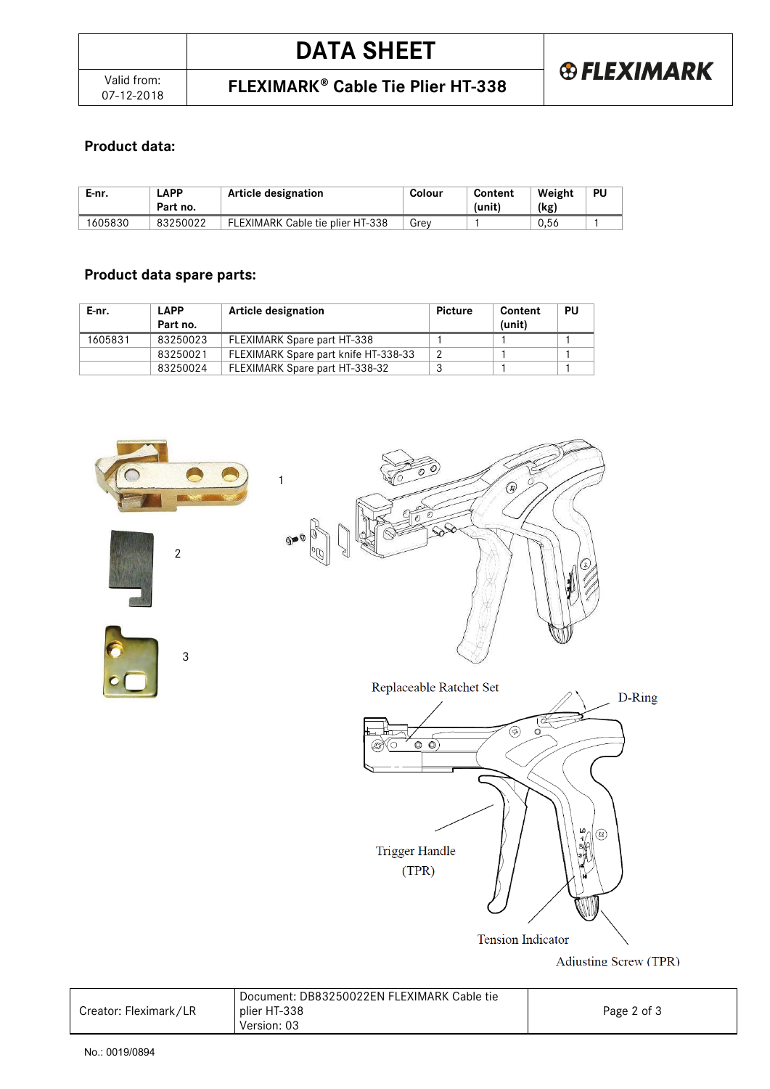07-12-2018 **FLEXIMARK Cable Tie Plier HT-338**

# **Product data:**

| E-nr.  | .APP<br>Part no. | Article designation              | Colour | Content<br>(unit) | Weight<br>(kg) | PU |
|--------|------------------|----------------------------------|--------|-------------------|----------------|----|
| 605830 | 83250022         | FLEXIMARK Cable tie plier HT-338 | Grev   |                   | 0.56           |    |

# **Product data spare parts:**

| E-nr.   | <b>LAPP</b><br>Part no. | Article designation                  | Picture | Content<br>(unit) | PU |
|---------|-------------------------|--------------------------------------|---------|-------------------|----|
| 1605831 | 83250023                | FLEXIMARK Spare part HT-338          |         |                   |    |
|         | 83250021                | FLEXIMARK Spare part knife HT-338-33 | റ       |                   |    |
|         | 83250024                | FLEXIMARK Spare part HT-338-32       |         |                   |    |







Adjusting Screw (TPR)

|                       | Document: DB83250022EN FLEXIMARK Cable tie |             |
|-----------------------|--------------------------------------------|-------------|
| Creator: Fleximark/LR | plier HT-338                               | Page 2 of 3 |
|                       | Version: 03                                |             |